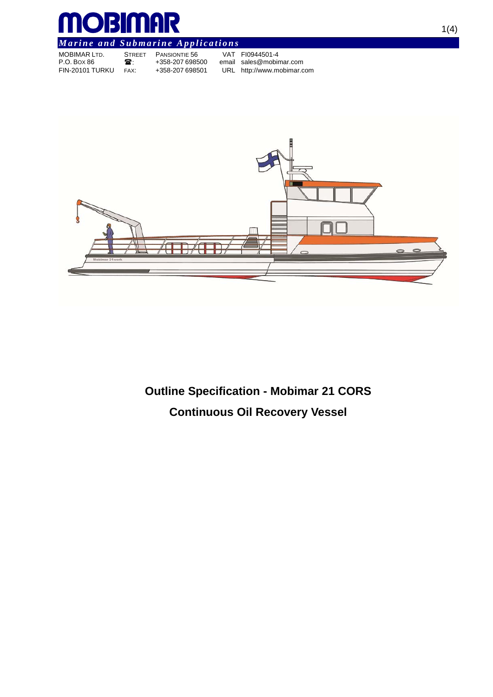

# *Marine and Submarine Applications*

|                 |               | . .             |                            |
|-----------------|---------------|-----------------|----------------------------|
| MOBIMAR LTD.    | <b>STREET</b> | PANSIONTIE 56   | VAT FI0944501-4            |
| P.O. Box 86     | 28.           | +358-207 698500 | email sales@mobimar.com    |
| FIN-20101 TURKU | FAX:          | +358-207 698501 | URL http://www.mobimar.com |
|                 |               |                 |                            |



**Outline Specification - Mobimar 21 CORS Continuous Oil Recovery Vessel**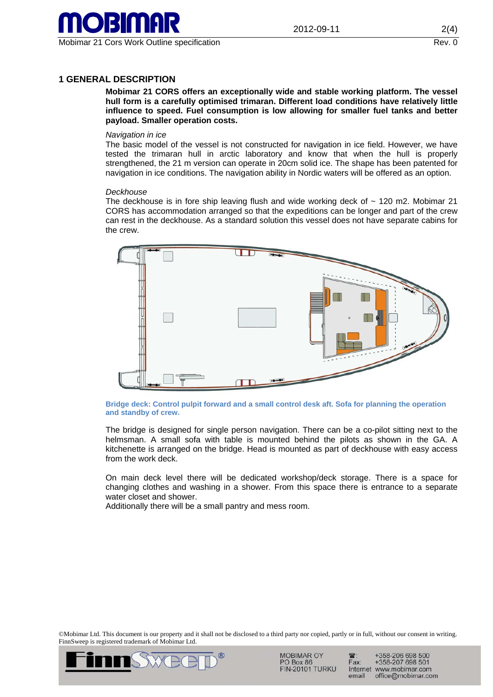

# **1 GENERAL DESCRIPTION**

**Mobimar 21 CORS offers an exceptionally wide and stable working platform. The vessel hull form is a carefully optimised trimaran. Different load conditions have relatively little influence to speed. Fuel consumption is low allowing for smaller fuel tanks and better payload. Smaller operation costs.** 

#### *Navigation in ice*

The basic model of the vessel is not constructed for navigation in ice field. However, we have tested the trimaran hull in arctic laboratory and know that when the hull is properly strengthened, the 21 m version can operate in 20cm solid ice. The shape has been patented for navigation in ice conditions. The navigation ability in Nordic waters will be offered as an option.

#### *Deckhouse*

The deckhouse is in fore ship leaving flush and wide working deck of  $\sim$  120 m2. Mobimar 21 CORS has accommodation arranged so that the expeditions can be longer and part of the crew can rest in the deckhouse. As a standard solution this vessel does not have separate cabins for the crew.



**Bridge deck: Control pulpit forward and a small control desk aft. Sofa for planning the operation and standby of crew.** 

The bridge is designed for single person navigation. There can be a co-pilot sitting next to the helmsman. A small sofa with table is mounted behind the pilots as shown in the GA. A kitchenette is arranged on the bridge. Head is mounted as part of deckhouse with easy access from the work deck.

On main deck level there will be dedicated workshop/deck storage. There is a space for changing clothes and washing in a shower. From this space there is entrance to a separate water closet and shower.

Additionally there will be a small pantry and mess room.

©Mobimar Ltd. This document is our property and it shall not be disclosed to a third party nor copied, partly or in full, without our consent in writing. FinnSweep is registered trademark of Mobimar Ltd.



**MOBIMAR OY** PO Box 86 **FIN-20101 TURKU** 

+358-206 698 500 +358-207 698 501 Fax: Internet www.mobimar.com email office@mobimar.com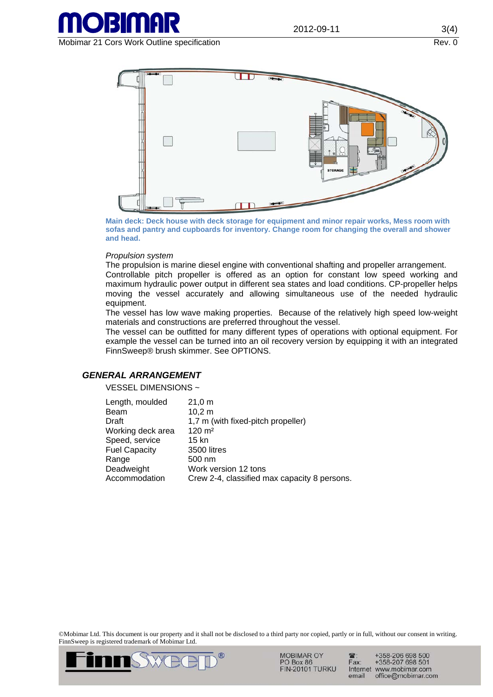

Mobimar 21 Cors Work Outline specification Rev. 0



**Main deck: Deck house with deck storage for equipment and minor repair works, Mess room with sofas and pantry and cupboards for inventory. Change room for changing the overall and shower and head.** 

#### *Propulsion system*

The propulsion is marine diesel engine with conventional shafting and propeller arrangement.

Controllable pitch propeller is offered as an option for constant low speed working and maximum hydraulic power output in different sea states and load conditions. CP-propeller helps moving the vessel accurately and allowing simultaneous use of the needed hydraulic equipment.

The vessel has low wave making properties. Because of the relatively high speed low-weight materials and constructions are preferred throughout the vessel.

The vessel can be outfitted for many different types of operations with optional equipment. For example the vessel can be turned into an oil recovery version by equipping it with an integrated FinnSweep® brush skimmer. See OPTIONS.

# *GENERAL ARRANGEMENT*

VESSEL DIMENSIONS ~

| Length, moulded      | 21,0 m                                       |
|----------------------|----------------------------------------------|
| Beam                 | 10,2 m                                       |
| Draft                | 1,7 m (with fixed-pitch propeller)           |
| Working deck area    | $120 \text{ m}^2$                            |
| Speed, service       | 15 kn                                        |
| <b>Fuel Capacity</b> | 3500 litres                                  |
| Range                | 500 nm                                       |
| Deadweight           | Work version 12 tons                         |
| Accommodation        | Crew 2-4, classified max capacity 8 persons. |

©Mobimar Ltd. This document is our property and it shall not be disclosed to a third party nor copied, partly or in full, without our consent in writing. FinnSweep is registered trademark of Mobimar Ltd.



**MOBIMAR OY** PO Box 86 **FIN-20101 TURKU** 

+358-206 698 500<br>+358-207 698 501  $\mathbb{R}$ Fax: Internet www.mobimar.com email office@mobimar.com